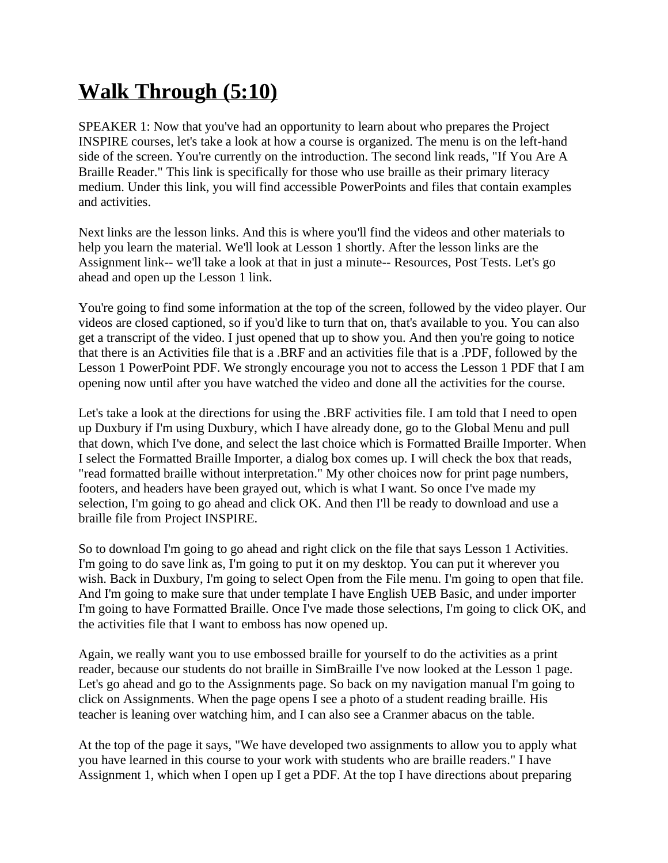## **Walk Through (5:10)**

SPEAKER 1: Now that you've had an opportunity to learn about who prepares the Project INSPIRE courses, let's take a look at how a course is organized. The menu is on the left-hand side of the screen. You're currently on the introduction. The second link reads, "If You Are A Braille Reader." This link is specifically for those who use braille as their primary literacy medium. Under this link, you will find accessible PowerPoints and files that contain examples and activities.

Next links are the lesson links. And this is where you'll find the videos and other materials to help you learn the material. We'll look at Lesson 1 shortly. After the lesson links are the Assignment link-- we'll take a look at that in just a minute-- Resources, Post Tests. Let's go ahead and open up the Lesson 1 link.

You're going to find some information at the top of the screen, followed by the video player. Our videos are closed captioned, so if you'd like to turn that on, that's available to you. You can also get a transcript of the video. I just opened that up to show you. And then you're going to notice that there is an Activities file that is a .BRF and an activities file that is a .PDF, followed by the Lesson 1 PowerPoint PDF. We strongly encourage you not to access the Lesson 1 PDF that I am opening now until after you have watched the video and done all the activities for the course.

Let's take a look at the directions for using the .BRF activities file. I am told that I need to open up Duxbury if I'm using Duxbury, which I have already done, go to the Global Menu and pull that down, which I've done, and select the last choice which is Formatted Braille Importer. When I select the Formatted Braille Importer, a dialog box comes up. I will check the box that reads, "read formatted braille without interpretation." My other choices now for print page numbers, footers, and headers have been grayed out, which is what I want. So once I've made my selection, I'm going to go ahead and click OK. And then I'll be ready to download and use a braille file from Project INSPIRE.

So to download I'm going to go ahead and right click on the file that says Lesson 1 Activities. I'm going to do save link as, I'm going to put it on my desktop. You can put it wherever you wish. Back in Duxbury, I'm going to select Open from the File menu. I'm going to open that file. And I'm going to make sure that under template I have English UEB Basic, and under importer I'm going to have Formatted Braille. Once I've made those selections, I'm going to click OK, and the activities file that I want to emboss has now opened up.

Again, we really want you to use embossed braille for yourself to do the activities as a print reader, because our students do not braille in SimBraille I've now looked at the Lesson 1 page. Let's go ahead and go to the Assignments page. So back on my navigation manual I'm going to click on Assignments. When the page opens I see a photo of a student reading braille. His teacher is leaning over watching him, and I can also see a Cranmer abacus on the table.

At the top of the page it says, "We have developed two assignments to allow you to apply what you have learned in this course to your work with students who are braille readers." I have Assignment 1, which when I open up I get a PDF. At the top I have directions about preparing